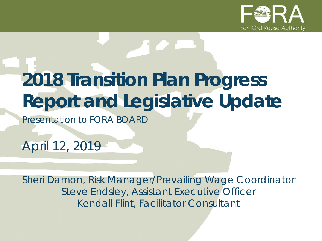

# **2018 Transition Plan Progress Report and Legislative Update**

*Presentation to FORA BOARD*

*April 12, 2019*

*Sheri Damon, Risk Manager/Prevailing Wage Coordinator Steve Endsley, Assistant Executive Officer Kendall Flint, Facilitator Consultant*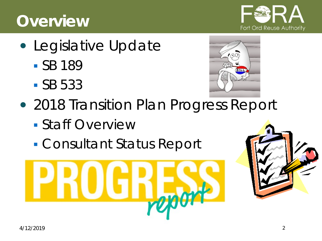#### **Overview**

- Legislative Update
	- SB 189
	- SB 533



- 2018 Transition Plan Progress Report
	- Staff Overview
	- Consultant Status Report





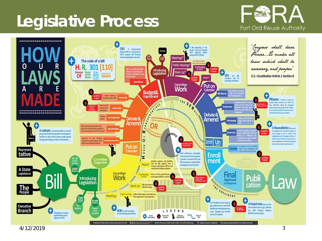## **Legislative Process**





4/12/2019 3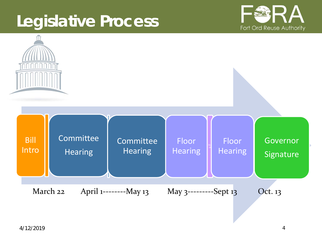### **Legislative Process**



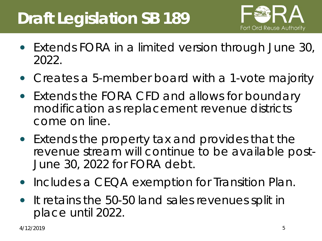# **Draft Legislation SB 189**



- Extends FORA in a limited version through June 30, 2022.
- Creates a 5-member board with a 1-vote majority
- Extends the FORA CFD and allows for boundary modification as replacement revenue districts come on line.
- Extends the property tax and provides that the revenue stream will continue to be available post-June 30, 2022 for FORA debt.
- Includes a CEQA exemption for Transition Plan.
- It retains the 50-50 land sales revenues split in place until 2022.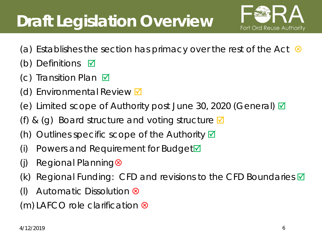# **Draft Legislation Overview**



- (a) Establishes the section has primacy over the rest of the Act  $\otimes$
- (b) Definitions  $\boxtimes$
- (c) Transition Plan  $\boxtimes$
- (d) Environmental Review  $\blacksquare$
- (e) Limited scope of Authority post June 30, 2020 (General)  $\blacksquare$
- (f) & (g) Board structure and voting structure  $\blacksquare$
- (h) Outlines specific scope of the Authority  $\boxtimes$
- (i) Powers and Requirement for Budget $\blacksquare$
- (j) Regional Planning
- (k) Regional Funding: CFD and revisions to the CFD Boundaries  $\blacksquare$
- (I) Automatic Dissolution  $\otimes$

 $(m)$  LAFCO role clarification  $\otimes$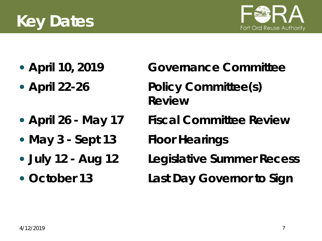# **Key Dates**



- 
- 
- 
- **May 3 - Sept 13 Floor Hearings**
- 
- 
- **April 10, 2019 Governance Committee April 22-26 Policy Committee(s) Review**
- **April 26 - May 17 Fiscal Committee Review**
	-
- **July 12 - Aug 12 Legislative Summer Recess**
- **October 13 Last Day Governor to Sign**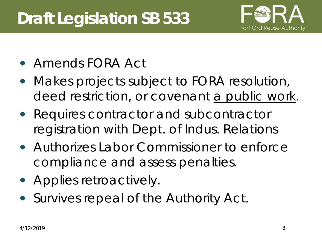# **Draft Legislation SB 533**



- Amends FORA Act
- Makes projects subject to FORA resolution, deed restriction, or covenant a public work.
- Requires contractor and subcontractor registration with Dept. of Indus. Relations
- Authorizes Labor Commissioner to enforce compliance and assess penalties.
- Applies retroactively.
- Survives repeal of the Authority Act.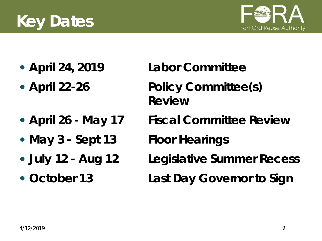# **Key Dates**



- 
- 
- 
- **May 3 - Sept 13 Floor Hearings**
- 
- 
- **April 24, 2019 Labor Committee**
- **April 22-26 Policy Committee(s) Review**
- **April 26 - May 17 Fiscal Committee Review**
	-
- **July 12 - Aug 12 Legislative Summer Recess**
- **October 13 Last Day Governor to Sign**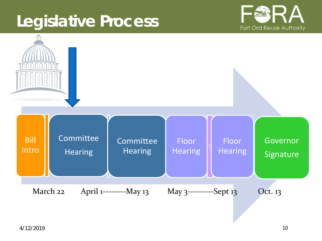### **Legislative Process**



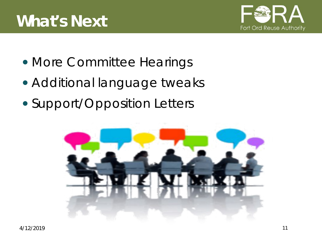

- More Committee Hearings
- Additional language tweaks
- Support/Opposition Letters

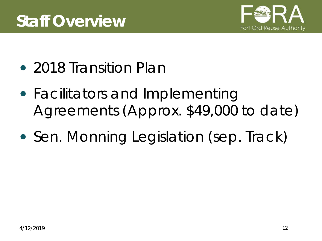

- 2018 Transition Plan
- Facilitators and Implementing Agreements (Approx. \$49,000 to date)
- Sen. Monning Legislation (sep. Track)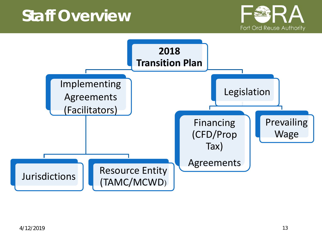#### **Staff Overview**



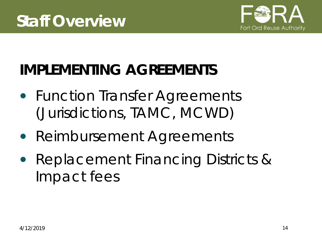

## **IMPLEMENTING AGREEMENTS**

- Function Transfer Agreements (Jurisdictions, TAMC, MCWD)
- Reimbursement Agreements
- Replacement Financing Districts & Impact fees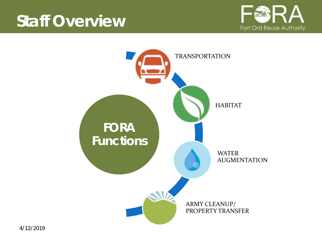#### **Staff Overview**



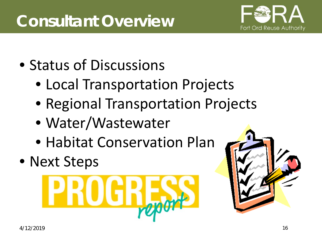

- Status of Discussions
	- Local Transportation Projects
	- Regional Transportation Projects
	- Water/Wastewater
	- Habitat Conservation Plan
- Next Steps



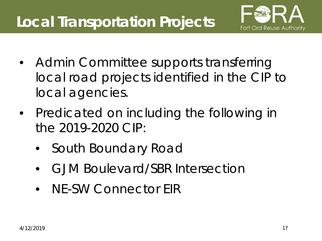## **Local Transportation Projects**



- Admin Committee supports transferring local road projects identified in the CIP to local agencies.
- Predicated on including the following in the 2019-2020 CIP:
	- South Boundary Road
	- GJM Boulevard/SBR Intersection
	- NE-SW Connector FIR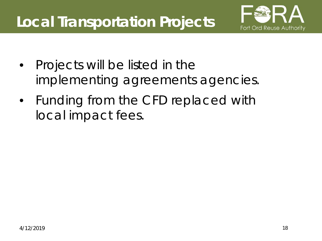#### **Local Transportation Projects**



- Projects will be listed in the implementing agreements agencies.
- Funding from the CFD replaced with local impact fees.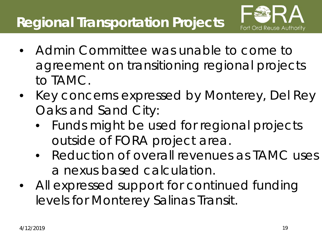#### **Regional Transportation Projects**



- Admin Committee was unable to come to agreement on transitioning regional projects to TAMC.
- Key concerns expressed by Monterey, Del Rey Oaks and Sand City:
	- Funds might be used for regional projects outside of FORA project area.
	- Reduction of overall revenues as TAMC uses a nexus based calculation.
- All expressed support for continued funding levels for Monterey Salinas Transit.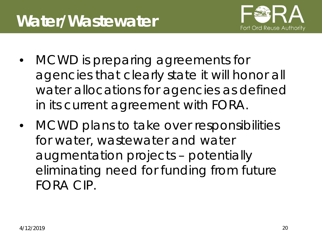

- MCWD is preparing agreements for agencies that clearly state it will honor all water allocations for agencies as defined in its current agreement with FORA.
- MCWD plans to take over responsibilities for water, wastewater and water augmentation projects – potentially eliminating need for funding from future FORA CIP.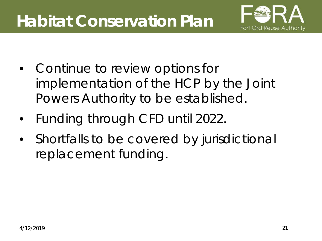## **Habitat Conservation Plan**



- Continue to review options for implementation of the HCP by the Joint Powers Authority to be established.
- Funding through CFD until 2022.
- Shortfalls to be covered by jurisdictional replacement funding.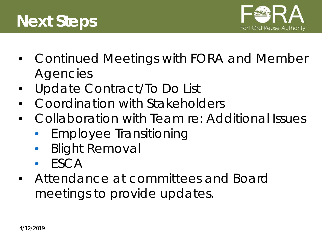



- Continued Meetings with FORA and Member **Agencies**
- Update Contract/To Do List
- Coordination with Stakeholders
- Collaboration with Team re: Additional Issues
	- Employee Transitioning
	- Blight Removal
	- **ESCA**
- Attendance at committees and Board meetings to provide updates.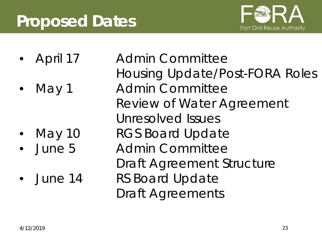## **Proposed Dates**



- 
- 

- 
- 

• April 17 Admin Committee Housing Update/Post-FORA Roles May 1 Admin Committee Review of Water Agreement Unresolved Issues May 10 RGS Board Update • June 5 Admin Committee Draft Agreement Structure • June 14 RS Board Update Draft Agreements